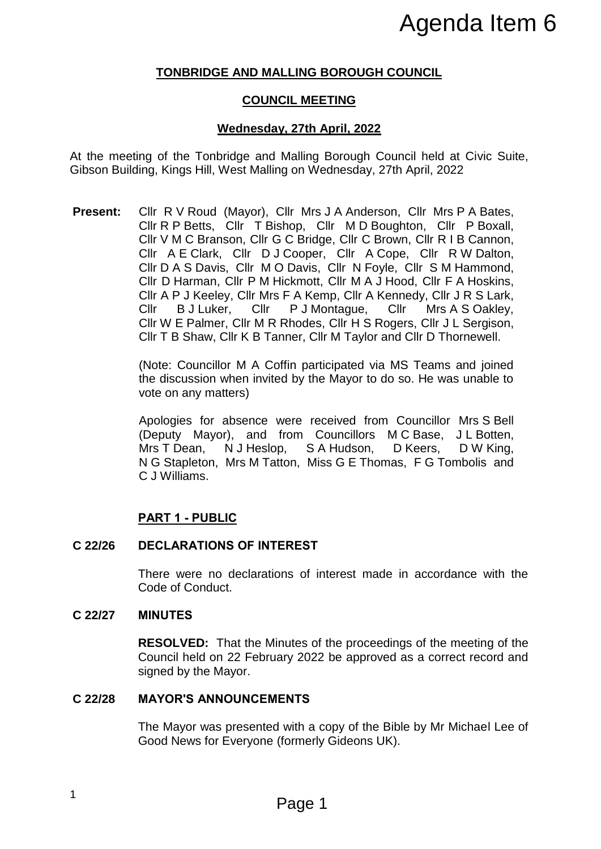# **TONBRIDGE AND MALLING BOROUGH COUNCIL**

# **COUNCIL MEETING**

# **Wednesday, 27th April, 2022**

At the meeting of the Tonbridge and Malling Borough Council held at Civic Suite, Gibson Building, Kings Hill, West Malling on Wednesday, 27th April, 2022

**Present:** Cllr R V Roud (Mayor), Cllr Mrs J A Anderson, Cllr Mrs P A Bates, Cllr R P Betts, Cllr T Bishop, Cllr M D Boughton, Cllr P Boxall, Cllr V M C Branson, Cllr G C Bridge, Cllr C Brown, Cllr R I B Cannon, Cllr A E Clark, Cllr D J Cooper, Cllr A Cope, Cllr R W Dalton, Cllr D A S Davis, Cllr M O Davis, Cllr N Foyle, Cllr S M Hammond, Cllr D Harman, Cllr P M Hickmott, Cllr M A J Hood, Cllr F A Hoskins, Cllr A P J Keeley, Cllr Mrs F A Kemp, Cllr A Kennedy, Cllr J R S Lark, Cllr B J Luker, Cllr P J Montague, Cllr Mrs A S Oakley, Cllr W E Palmer, Cllr M R Rhodes, Cllr H S Rogers, Cllr J L Sergison, Cllr T B Shaw, Cllr K B Tanner, Cllr M Taylor and Cllr D Thornewell. **Agenda Item 6**<br> **Agenda Item 6**<br> **CLUING BOROUGH COUNCIL**<br> **CLUING BOROUGH COUNCIL**<br> **CLUING BOROUGH COUNCIL**<br> **Page 1**<br> **CLUING A Anderson, ClIr Ms P A Bates,<br>
shop, ClIr Ms J A Anderson, ClIr Ms P A Bates,<br>
shop, ClIr M** 

(Note: Councillor M A Coffin participated via MS Teams and joined the discussion when invited by the Mayor to do so. He was unable to vote on any matters)

Apologies for absence were received from Councillor Mrs S Bell (Deputy Mayor), and from Councillors M C Base, J L Botten, Mrs T Dean, N J Heslop, S A Hudson, D Keers, D W King, N G Stapleton, Mrs M Tatton, Miss G E Thomas, F G Tombolis and C J Williams.

# **PART 1 - PUBLIC**

## **C 22/26 DECLARATIONS OF INTEREST**

There were no declarations of interest made in accordance with the Code of Conduct.

## **C 22/27 MINUTES**

**RESOLVED:** That the Minutes of the proceedings of the meeting of the Council held on 22 February 2022 be approved as a correct record and signed by the Mayor.

## **C 22/28 MAYOR'S ANNOUNCEMENTS**

The Mayor was presented with a copy of the Bible by Mr Michael Lee of Good News for Everyone (formerly Gideons UK).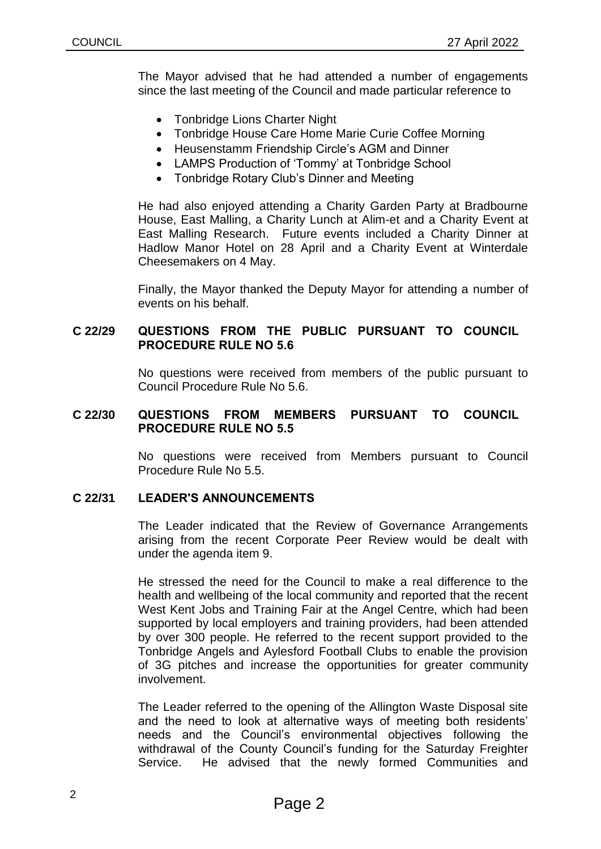The Mayor advised that he had attended a number of engagements since the last meeting of the Council and made particular reference to

- Tonbridge Lions Charter Night
- Tonbridge House Care Home Marie Curie Coffee Morning
- Heusenstamm Friendship Circle's AGM and Dinner
- LAMPS Production of 'Tommy' at Tonbridge School
- Tonbridge Rotary Club's Dinner and Meeting

He had also enjoyed attending a Charity Garden Party at Bradbourne House, East Malling, a Charity Lunch at Alim-et and a Charity Event at East Malling Research. Future events included a Charity Dinner at Hadlow Manor Hotel on 28 April and a Charity Event at Winterdale Cheesemakers on 4 May.

Finally, the Mayor thanked the Deputy Mayor for attending a number of events on his behalf.

## **C 22/29 QUESTIONS FROM THE PUBLIC PURSUANT TO COUNCIL PROCEDURE RULE NO 5.6**

No questions were received from members of the public pursuant to Council Procedure Rule No 5.6.

## **C 22/30 QUESTIONS FROM MEMBERS PURSUANT TO COUNCIL PROCEDURE RULE NO 5.5**

No questions were received from Members pursuant to Council Procedure Rule No 5.5.

# **C 22/31 LEADER'S ANNOUNCEMENTS**

The Leader indicated that the Review of Governance Arrangements arising from the recent Corporate Peer Review would be dealt with under the agenda item 9.

He stressed the need for the Council to make a real difference to the health and wellbeing of the local community and reported that the recent West Kent Jobs and Training Fair at the Angel Centre, which had been supported by local employers and training providers, had been attended by over 300 people. He referred to the recent support provided to the Tonbridge Angels and Aylesford Football Clubs to enable the provision of 3G pitches and increase the opportunities for greater community involvement.

The Leader referred to the opening of the Allington Waste Disposal site and the need to look at alternative ways of meeting both residents' needs and the Council's environmental objectives following the withdrawal of the County Council's funding for the Saturday Freighter Service. He advised that the newly formed Communities and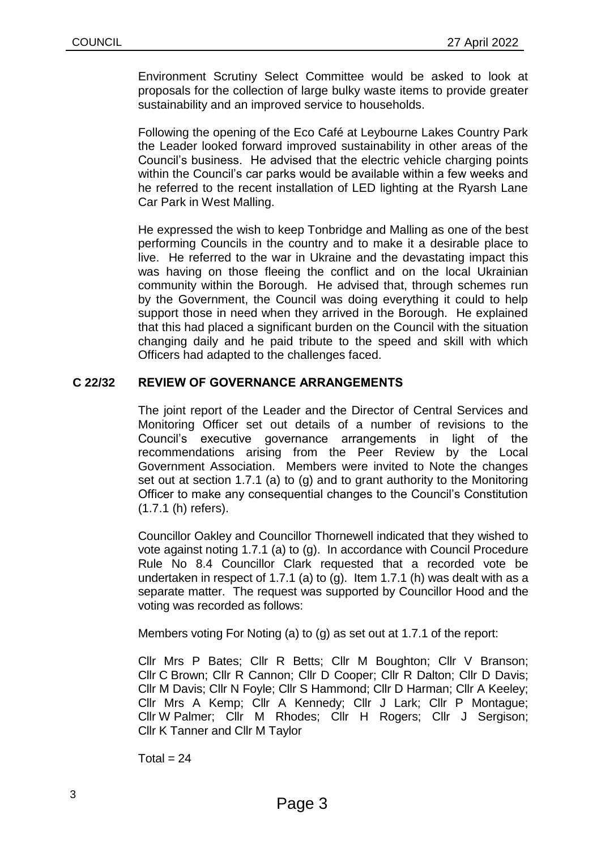Environment Scrutiny Select Committee would be asked to look at proposals for the collection of large bulky waste items to provide greater sustainability and an improved service to households.

Following the opening of the Eco Café at Leybourne Lakes Country Park the Leader looked forward improved sustainability in other areas of the Council's business. He advised that the electric vehicle charging points within the Council's car parks would be available within a few weeks and he referred to the recent installation of LED lighting at the Ryarsh Lane Car Park in West Malling.

He expressed the wish to keep Tonbridge and Malling as one of the best performing Councils in the country and to make it a desirable place to live. He referred to the war in Ukraine and the devastating impact this was having on those fleeing the conflict and on the local Ukrainian community within the Borough. He advised that, through schemes run by the Government, the Council was doing everything it could to help support those in need when they arrived in the Borough. He explained that this had placed a significant burden on the Council with the situation changing daily and he paid tribute to the speed and skill with which Officers had adapted to the challenges faced.

# **C 22/32 REVIEW OF GOVERNANCE ARRANGEMENTS**

The joint report of the Leader and the Director of Central Services and Monitoring Officer set out details of a number of revisions to the Council's executive governance arrangements in light of the recommendations arising from the Peer Review by the Local Government Association. Members were invited to Note the changes set out at section 1.7.1 (a) to (g) and to grant authority to the Monitoring Officer to make any consequential changes to the Council's Constitution (1.7.1 (h) refers).

Councillor Oakley and Councillor Thornewell indicated that they wished to vote against noting 1.7.1 (a) to (g). In accordance with Council Procedure Rule No 8.4 Councillor Clark requested that a recorded vote be undertaken in respect of 1.7.1 (a) to (g). Item 1.7.1 (h) was dealt with as a separate matter. The request was supported by Councillor Hood and the voting was recorded as follows:

Members voting For Noting (a) to (g) as set out at 1.7.1 of the report:

Cllr Mrs P Bates; Cllr R Betts; Cllr M Boughton; Cllr V Branson; Cllr C Brown; Cllr R Cannon; Cllr D Cooper; Cllr R Dalton; Cllr D Davis; Cllr M Davis; Cllr N Foyle; Cllr S Hammond; Cllr D Harman; Cllr A Keeley; Cllr Mrs A Kemp; Cllr A Kennedy; Cllr J Lark; Cllr P Montague; Cllr W Palmer; Cllr M Rhodes; Cllr H Rogers; Cllr J Sergison; Cllr K Tanner and Cllr M Taylor

 $Total = 24$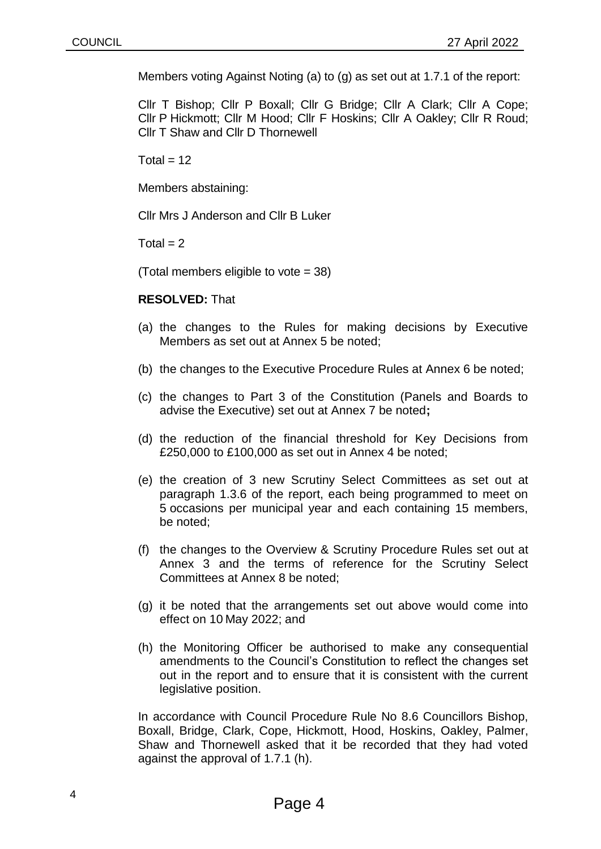Members voting Against Noting (a) to (g) as set out at 1.7.1 of the report:

Cllr T Bishop; Cllr P Boxall; Cllr G Bridge; Cllr A Clark; Cllr A Cope; Cllr P Hickmott; Cllr M Hood; Cllr F Hoskins; Cllr A Oakley; Cllr R Roud; Cllr T Shaw and Cllr D Thornewell

 $Total = 12$ 

Members abstaining:

Cllr Mrs J Anderson and Cllr B Luker

Total  $= 2$ 

(Total members eligible to vote = 38)

#### **RESOLVED:** That

- (a) the changes to the Rules for making decisions by Executive Members as set out at Annex 5 be noted;
- (b) the changes to the Executive Procedure Rules at Annex 6 be noted;
- (c) the changes to Part 3 of the Constitution (Panels and Boards to advise the Executive) set out at Annex 7 be noted**;**
- (d) the reduction of the financial threshold for Key Decisions from £250,000 to £100,000 as set out in Annex 4 be noted;
- (e) the creation of 3 new Scrutiny Select Committees as set out at paragraph 1.3.6 of the report, each being programmed to meet on 5 occasions per municipal year and each containing 15 members, be noted;
- (f) the changes to the Overview & Scrutiny Procedure Rules set out at Annex 3 and the terms of reference for the Scrutiny Select Committees at Annex 8 be noted;
- (g) it be noted that the arrangements set out above would come into effect on 10 May 2022; and
- (h) the Monitoring Officer be authorised to make any consequential amendments to the Council's Constitution to reflect the changes set out in the report and to ensure that it is consistent with the current legislative position.

In accordance with Council Procedure Rule No 8.6 Councillors Bishop, Boxall, Bridge, Clark, Cope, Hickmott, Hood, Hoskins, Oakley, Palmer, Shaw and Thornewell asked that it be recorded that they had voted against the approval of 1.7.1 (h).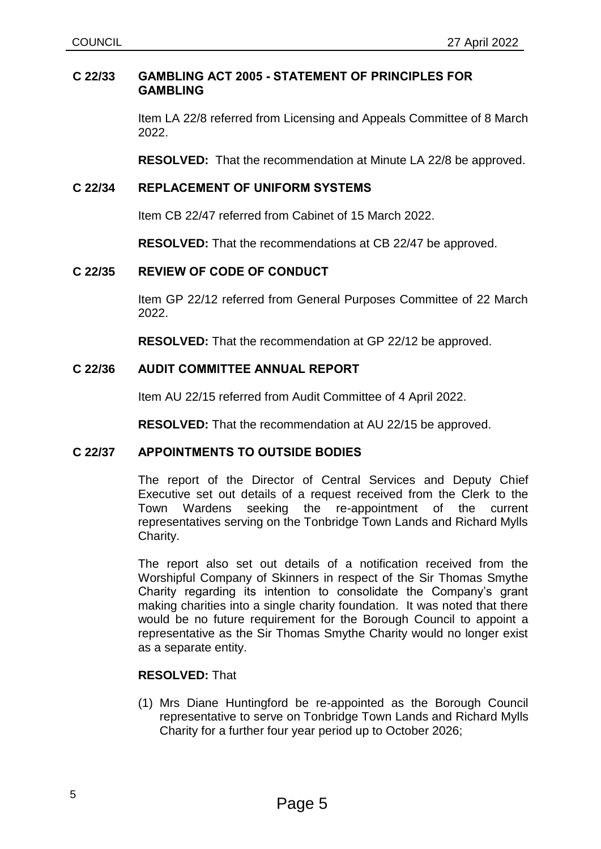#### **C 22/33 GAMBLING ACT 2005 - STATEMENT OF PRINCIPLES FOR GAMBLING**

Item LA 22/8 referred from Licensing and Appeals Committee of 8 March 2022.

**RESOLVED:** That the recommendation at Minute LA 22/8 be approved.

## **C 22/34 REPLACEMENT OF UNIFORM SYSTEMS**

Item CB 22/47 referred from Cabinet of 15 March 2022.

**RESOLVED:** That the recommendations at CB 22/47 be approved.

## **C 22/35 REVIEW OF CODE OF CONDUCT**

Item GP 22/12 referred from General Purposes Committee of 22 March 2022.

**RESOLVED:** That the recommendation at GP 22/12 be approved.

## **C 22/36 AUDIT COMMITTEE ANNUAL REPORT**

Item AU 22/15 referred from Audit Committee of 4 April 2022.

**RESOLVED:** That the recommendation at AU 22/15 be approved.

## **C 22/37 APPOINTMENTS TO OUTSIDE BODIES**

The report of the Director of Central Services and Deputy Chief Executive set out details of a request received from the Clerk to the Town Wardens seeking the re-appointment of the current representatives serving on the Tonbridge Town Lands and Richard Mylls Charity.

The report also set out details of a notification received from the Worshipful Company of Skinners in respect of the Sir Thomas Smythe Charity regarding its intention to consolidate the Company's grant making charities into a single charity foundation. It was noted that there would be no future requirement for the Borough Council to appoint a representative as the Sir Thomas Smythe Charity would no longer exist as a separate entity.

## **RESOLVED:** That

(1) Mrs Diane Huntingford be re-appointed as the Borough Council representative to serve on Tonbridge Town Lands and Richard Mylls Charity for a further four year period up to October 2026;